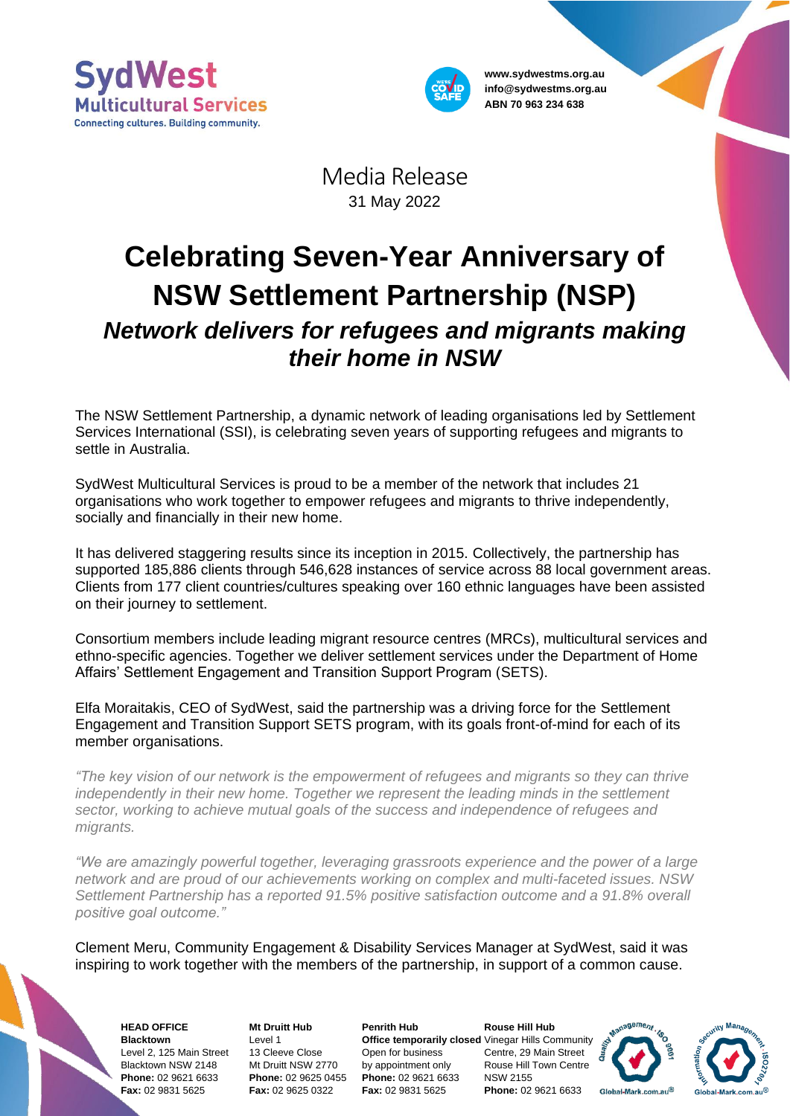



**www.sydwestms.org.au info@sydwestms.org.au ABN 70 963 234 638**

Media Release 31 May 2022

## **Celebrating Seven-Year Anniversary of NSW Settlement Partnership (NSP)** *Network delivers for refugees and migrants making their home in NSW*

The NSW Settlement Partnership, a dynamic network of leading organisations led by Settlement Services International (SSI), is celebrating seven years of supporting refugees and migrants to settle in Australia.

SydWest Multicultural Services is proud to be a member of the network that includes 21 organisations who work together to empower refugees and migrants to thrive independently, socially and financially in their new home.

It has delivered staggering results since its inception in 2015. Collectively, the partnership has supported 185,886 clients through 546,628 instances of service across 88 local government areas. Clients from 177 client countries/cultures speaking over 160 ethnic languages have been assisted on their journey to settlement.

Consortium members include leading migrant resource centres (MRCs), multicultural services and ethno-specific agencies. Together we deliver settlement services under the Department of Home Affairs' Settlement Engagement and Transition Support Program (SETS).

Elfa Moraitakis, CEO of SydWest, said the partnership was a driving force for the Settlement Engagement and Transition Support SETS program, with its goals front-of-mind for each of its member organisations.

*"The key vision of our network is the empowerment of refugees and migrants so they can thrive independently in their new home. Together we represent the leading minds in the settlement sector, working to achieve mutual goals of the success and independence of refugees and migrants.*

*"We are amazingly powerful together, leveraging grassroots experience and the power of a large network and are proud of our achievements working on complex and multi-faceted issues. NSW Settlement Partnership has a reported 91.5% positive satisfaction outcome and a 91.8% overall positive goal outcome."*

Clement Meru, Community Engagement & Disability Services Manager at SydWest, said it was inspiring to work together with the members of the partnership, in support of a common cause.

**HEAD OFFICE Blacktown** Level 2, 125 Main Street Blacktown NSW 2148 **Phone:** 02 9621 6633 **Fax:** 02 9831 5625

**Mt Druitt Hub** Level 1 13 Cleeve Close Mt Druitt NSW 2770 **Phone:** 02 9625 0455 **Fax:** 02 9625 0322

**Penrith Hub** Open for business by appointment only **Phone:** 02 9621 6633 **Fax:** 02 9831 5625

**Office temporarily closed** Vinegar Hills Community **Rouse Hill Hub** Centre, 29 Main Street Rouse Hill Town Centre NSW 2155 **Phone:** 02 9621 6633